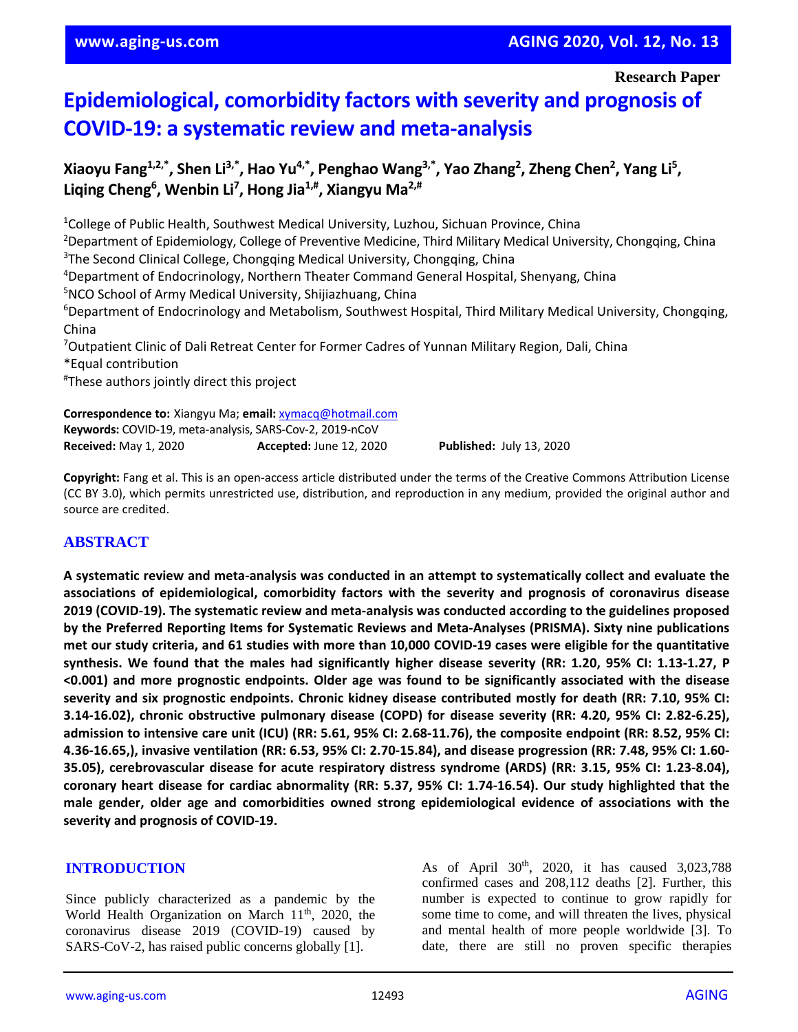**Research Paper**

# **Epidemiological, comorbidity factors with severity and prognosis of COVID-19: a systematic review and meta-analysis**

**Xiaoyu Fang1,2,\* , Shen Li3,\* , Hao Yu4,\* , Penghao Wang3,\* , Yao Zhang<sup>2</sup> , Zheng Chen<sup>2</sup> , Yang Li<sup>5</sup> , Liqing Cheng<sup>6</sup> , Wenbin Li<sup>7</sup> , Hong Jia1,# , Xiangyu Ma2,#**

<sup>1</sup>College of Public Health, Southwest Medical University, Luzhou, Sichuan Province, China <sup>2</sup>Department of Epidemiology, College of Preventive Medicine, Third Military Medical University, Chongqing, China <sup>3</sup>The Second Clinical College, Chongqing Medical University, Chongqing, China <sup>4</sup>Department of Endocrinology, Northern Theater Command General Hospital, Shenyang, China <sup>5</sup>NCO School of Army Medical University, Shijiazhuang, China <sup>6</sup>Department of Endocrinology and Metabolism, Southwest Hospital, Third Military Medical University, Chongqing, China <sup>7</sup>Outpatient Clinic of Dali Retreat Center for Former Cadres of Yunnan Military Region, Dali, China \*Equal contribution # These authors jointly direct this project **Correspondence to:** Xiangyu Ma; **email:** [xymacq@hotmail.com](mailto:xymacq@hotmail.com)

**Keywords:** COVID-19, meta-analysis, SARS-Cov-2, 2019-nCoV **Received:** May 1, 2020 **Accepted:** June 12, 2020 **Published:** July 13, 2020

**Copyright:** Fang et al. This is an open-access article distributed under the terms of the Creative Commons Attribution License (CC BY 3.0), which permits unrestricted use, distribution, and reproduction in any medium, provided the original author and source are credited.

#### **ABSTRACT**

**A systematic review and meta-analysis was conducted in an attempt to systematically collect and evaluate the associations of epidemiological, comorbidity factors with the severity and prognosis of coronavirus disease 2019 (COVID-19). The systematic review and meta-analysis was conducted according to the guidelines proposed by the Preferred Reporting Items for Systematic Reviews and Meta-Analyses (PRISMA). Sixty nine publications** met our study criteria, and 61 studies with more than 10,000 COVID-19 cases were eligible for the quantitative synthesis. We found that the males had significantly higher disease severity (RR: 1.20, 95% CI: 1.13-1.27, P **<0.001) and more prognostic endpoints. Older age was found to be significantly associated with the disease severity and six prognostic endpoints. Chronic kidney disease contributed mostly for death (RR: 7.10, 95% CI: 3.14-16.02), chronic obstructive pulmonary disease (COPD) for disease severity (RR: 4.20, 95% CI: 2.82-6.25),** admission to intensive care unit (ICU) (RR: 5.61, 95% CI: 2.68-11.76), the composite endpoint (RR: 8.52, 95% CI: 4.36-16.65,), invasive ventilation (RR: 6.53, 95% CI: 2.70-15.84), and disease progression (RR: 7.48, 95% CI: 1.60-**35.05), cerebrovascular disease for acute respiratory distress syndrome (ARDS) (RR: 3.15, 95% CI: 1.23-8.04), coronary heart disease for cardiac abnormality (RR: 5.37, 95% CI: 1.74-16.54). Our study highlighted that the male gender, older age and comorbidities owned strong epidemiological evidence of associations with the severity and prognosis of COVID-19.**

#### **INTRODUCTION**

Since publicly characterized as a pandemic by the World Health Organization on March  $11<sup>th</sup>$ , 2020, the coronavirus disease 2019 (COVID-19) caused by SARS-CoV-2, has raised public concerns globally [1].

As of April 30<sup>th</sup>, 2020, it has caused 3,023,788 confirmed cases and 208,112 deaths [2]. Further, this number is expected to continue to grow rapidly for some time to come, and will threaten the lives, physical and mental health of more people worldwide [3]. To date, there are still no proven specific therapies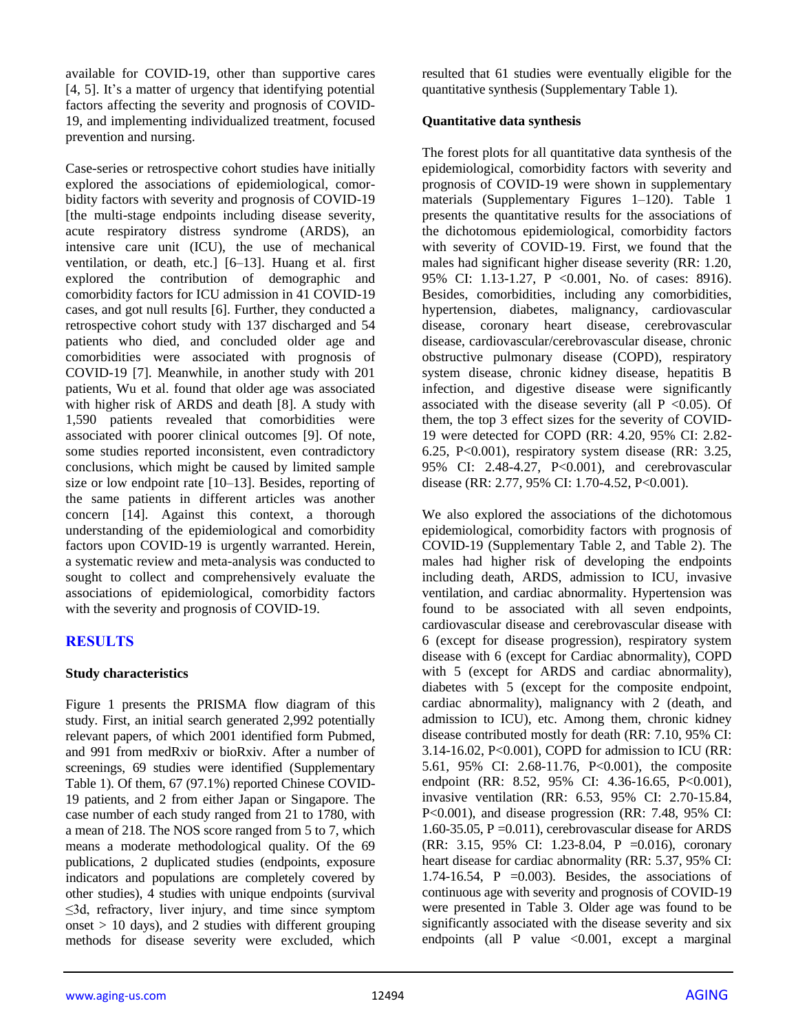available for COVID-19, other than supportive cares [4, 5]. It's a matter of urgency that identifying potential factors affecting the severity and prognosis of COVID-19, and implementing individualized treatment, focused prevention and nursing.

Case-series or retrospective cohort studies have initially explored the associations of epidemiological, comorbidity factors with severity and prognosis of COVID-19 [the multi-stage endpoints including disease severity, acute respiratory distress syndrome (ARDS), an intensive care unit (ICU), the use of mechanical ventilation, or death, etc.] [6–13]. Huang et al. first explored the contribution of demographic and comorbidity factors for ICU admission in 41 COVID-19 cases, and got null results [6]. Further, they conducted a retrospective cohort study with 137 discharged and 54 patients who died, and concluded older age and comorbidities were associated with prognosis of COVID-19 [7]. Meanwhile, in another study with 201 patients, Wu et al. found that older age was associated with higher risk of ARDS and death [8]. A study with 1,590 patients revealed that comorbidities were associated with poorer clinical outcomes [9]. Of note, some studies reported inconsistent, even contradictory conclusions, which might be caused by limited sample size or low endpoint rate [10–13]. Besides, reporting of the same patients in different articles was another concern [14]. Against this context, a thorough understanding of the epidemiological and comorbidity factors upon COVID-19 is urgently warranted. Herein, a systematic review and meta-analysis was conducted to sought to collect and comprehensively evaluate the associations of epidemiological, comorbidity factors with the severity and prognosis of COVID-19.

# **RESULTS**

#### **Study characteristics**

Figure 1 presents the PRISMA flow diagram of this study. First, an initial search generated 2,992 potentially relevant papers, of which 2001 identified form Pubmed, and 991 from medRxiv or bioRxiv. After a number of screenings, 69 studies were identified (Supplementary Table 1). Of them, 67 (97.1%) reported Chinese COVID-19 patients, and 2 from either Japan or Singapore. The case number of each study ranged from 21 to 1780, with a mean of 218. The NOS score ranged from 5 to 7, which means a moderate methodological quality. Of the 69 publications, 2 duplicated studies (endpoints, exposure indicators and populations are completely covered by other studies), 4 studies with unique endpoints (survival ≤3d, refractory, liver injury, and time since symptom onset  $> 10$  days), and 2 studies with different grouping methods for disease severity were excluded, which resulted that 61 studies were eventually eligible for the quantitative synthesis (Supplementary Table 1).

#### **Quantitative data synthesis**

The forest plots for all quantitative data synthesis of the epidemiological, comorbidity factors with severity and prognosis of COVID-19 were shown in supplementary materials (Supplementary Figures 1–120). Table 1 presents the quantitative results for the associations of the dichotomous epidemiological, comorbidity factors with severity of COVID-19. First, we found that the males had significant higher disease severity (RR: 1.20, 95% CI: 1.13-1.27, P <0.001, No. of cases: 8916). Besides, comorbidities, including any comorbidities, hypertension, diabetes, malignancy, cardiovascular disease, coronary heart disease, cerebrovascular disease, cardiovascular/cerebrovascular disease, chronic obstructive pulmonary disease (COPD), respiratory system disease, chronic kidney disease, hepatitis B infection, and digestive disease were significantly associated with the disease severity (all  $P < 0.05$ ). Of them, the top 3 effect sizes for the severity of COVID-19 were detected for COPD (RR: 4.20, 95% CI: 2.82- 6.25, P<0.001), respiratory system disease (RR: 3.25, 95% CI: 2.48-4.27, P<0.001), and cerebrovascular disease (RR: 2.77, 95% CI: 1.70-4.52, P<0.001).

We also explored the associations of the dichotomous epidemiological, comorbidity factors with prognosis of COVID-19 (Supplementary Table 2, and Table 2). The males had higher risk of developing the endpoints including death, ARDS, admission to ICU, invasive ventilation, and cardiac abnormality. Hypertension was found to be associated with all seven endpoints, cardiovascular disease and cerebrovascular disease with 6 (except for disease progression), respiratory system disease with 6 (except for Cardiac abnormality), COPD with 5 (except for ARDS and cardiac abnormality), diabetes with 5 (except for the composite endpoint, cardiac abnormality), malignancy with 2 (death, and admission to ICU), etc. Among them, chronic kidney disease contributed mostly for death (RR: 7.10, 95% CI: 3.14-16.02, P<0.001), COPD for admission to ICU (RR: 5.61, 95% CI: 2.68-11.76, P<0.001), the composite endpoint (RR: 8.52, 95% CI: 4.36-16.65, P<0.001), invasive ventilation (RR: 6.53, 95% CI: 2.70-15.84, P<0.001), and disease progression (RR: 7.48, 95% CI: 1.60-35.05, P =0.011), cerebrovascular disease for ARDS (RR: 3.15, 95% CI: 1.23-8.04, P =0.016), coronary heart disease for cardiac abnormality (RR: 5.37, 95% CI: 1.74-16.54, P =  $0.003$ ). Besides, the associations of continuous age with severity and prognosis of COVID-19 were presented in Table 3. Older age was found to be significantly associated with the disease severity and six endpoints (all P value <0.001, except a marginal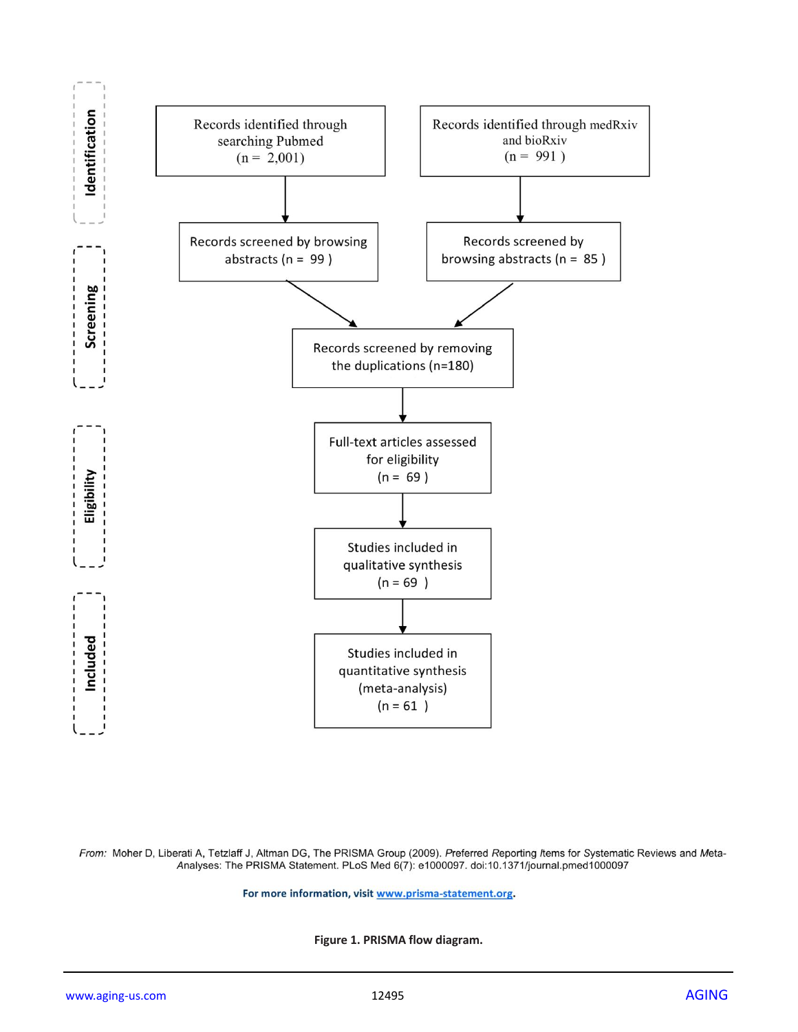

From: Moher D, Liberati A, Tetzlaff J, Altman DG, The PRISMA Group (2009). Preferred Reporting /tems for Systematic Reviews and Meta-Analyses: The PRISMA Statement. PLoS Med 6(7): e1000097. doi:10.1371/journal.pmed1000097

For more information, visit www.prisma-statement.org.

**Figure 1. PRISMA flow diagram.**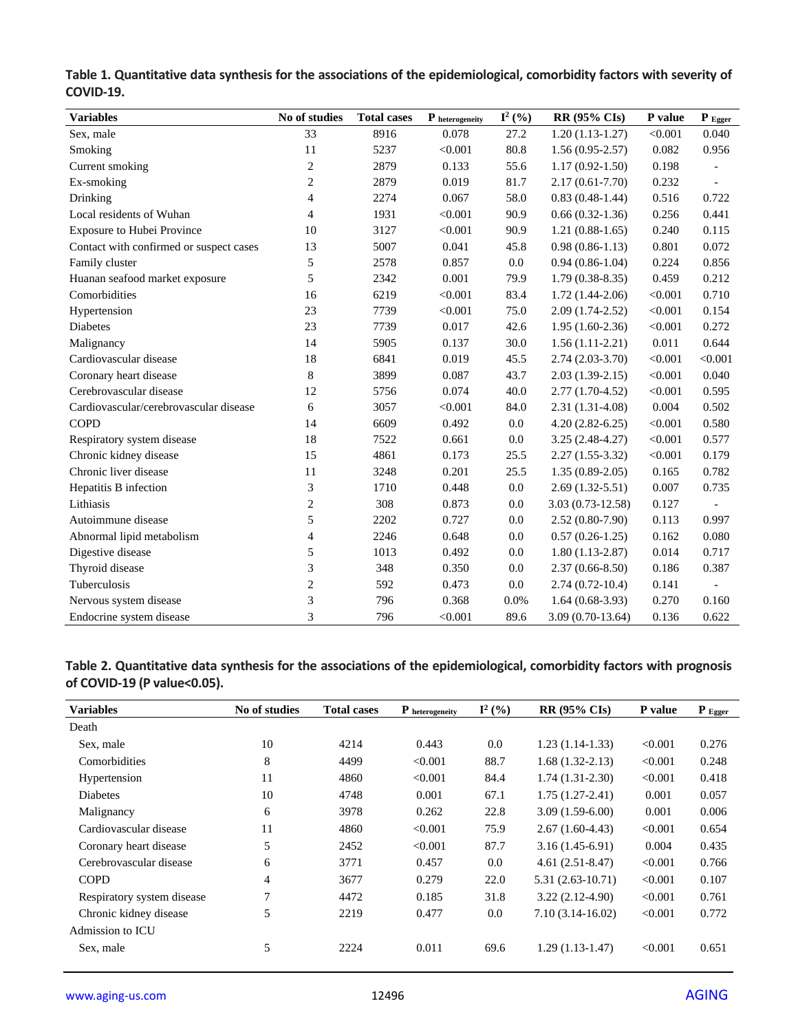| <b>Variables</b>                        | No of studies  | <b>Total cases</b> | P heterogeneity | $I^2$ (%) | <b>RR (95% CIs)</b> | P value | $P_{Egger}$              |
|-----------------------------------------|----------------|--------------------|-----------------|-----------|---------------------|---------|--------------------------|
| Sex, male                               | 33             | 8916               | 0.078           | 27.2      | $1.20(1.13-1.27)$   | < 0.001 | 0.040                    |
| Smoking                                 | 11             | 5237               | < 0.001         | 80.8      | $1.56(0.95-2.57)$   | 0.082   | 0.956                    |
| Current smoking                         | $\overline{c}$ | 2879               | 0.133           | 55.6      | $1.17(0.92 - 1.50)$ | 0.198   | $\overline{a}$           |
| Ex-smoking                              | $\overline{c}$ | 2879               | 0.019           | 81.7      | $2.17(0.61 - 7.70)$ | 0.232   | $\overline{a}$           |
| Drinking                                | $\overline{4}$ | 2274               | 0.067           | 58.0      | $0.83(0.48-1.44)$   | 0.516   | 0.722                    |
| Local residents of Wuhan                | $\overline{4}$ | 1931               | < 0.001         | 90.9      | $0.66(0.32-1.36)$   | 0.256   | 0.441                    |
| Exposure to Hubei Province              | 10             | 3127               | < 0.001         | 90.9      | $1.21(0.88-1.65)$   | 0.240   | 0.115                    |
| Contact with confirmed or suspect cases | 13             | 5007               | 0.041           | 45.8      | $0.98(0.86-1.13)$   | 0.801   | 0.072                    |
| Family cluster                          | 5              | 2578               | 0.857           | 0.0       | $0.94(0.86-1.04)$   | 0.224   | 0.856                    |
| Huanan seafood market exposure          | 5              | 2342               | 0.001           | 79.9      | $1.79(0.38-8.35)$   | 0.459   | 0.212                    |
| Comorbidities                           | 16             | 6219               | < 0.001         | 83.4      | $1.72(1.44-2.06)$   | < 0.001 | 0.710                    |
| Hypertension                            | 23             | 7739               | < 0.001         | 75.0      | $2.09(1.74-2.52)$   | < 0.001 | 0.154                    |
| Diabetes                                | 23             | 7739               | 0.017           | 42.6      | $1.95(1.60-2.36)$   | < 0.001 | 0.272                    |
| Malignancy                              | 14             | 5905               | 0.137           | 30.0      | $1.56(1.11-2.21)$   | 0.011   | 0.644                    |
| Cardiovascular disease                  | 18             | 6841               | 0.019           | 45.5      | $2.74(2.03-3.70)$   | < 0.001 | < 0.001                  |
| Coronary heart disease                  | 8              | 3899               | 0.087           | 43.7      | $2.03(1.39-2.15)$   | < 0.001 | 0.040                    |
| Cerebrovascular disease                 | 12             | 5756               | 0.074           | 40.0      | $2.77(1.70-4.52)$   | < 0.001 | 0.595                    |
| Cardiovascular/cerebrovascular disease  | 6              | 3057               | < 0.001         | 84.0      | $2.31(1.31-4.08)$   | 0.004   | 0.502                    |
| <b>COPD</b>                             | 14             | 6609               | 0.492           | 0.0       | $4.20(2.82 - 6.25)$ | < 0.001 | 0.580                    |
| Respiratory system disease              | 18             | 7522               | 0.661           | 0.0       | $3.25(2.48-4.27)$   | < 0.001 | 0.577                    |
| Chronic kidney disease                  | 15             | 4861               | 0.173           | 25.5      | $2.27(1.55-3.32)$   | < 0.001 | 0.179                    |
| Chronic liver disease                   | 11             | 3248               | 0.201           | 25.5      | $1.35(0.89-2.05)$   | 0.165   | 0.782                    |
| Hepatitis B infection                   | 3              | 1710               | 0.448           | 0.0       | $2.69(1.32-5.51)$   | 0.007   | 0.735                    |
| Lithiasis                               | $\overline{c}$ | 308                | 0.873           | 0.0       | 3.03 (0.73-12.58)   | 0.127   |                          |
| Autoimmune disease                      | 5              | 2202               | 0.727           | 0.0       | $2.52(0.80-7.90)$   | 0.113   | 0.997                    |
| Abnormal lipid metabolism               | 4              | 2246               | 0.648           | $0.0\,$   | $0.57(0.26-1.25)$   | 0.162   | 0.080                    |
| Digestive disease                       | 5              | 1013               | 0.492           | 0.0       | $1.80(1.13-2.87)$   | 0.014   | 0.717                    |
| Thyroid disease                         | 3              | 348                | 0.350           | 0.0       | $2.37(0.66 - 8.50)$ | 0.186   | 0.387                    |
| Tuberculosis                            | 2              | 592                | 0.473           | 0.0       | $2.74(0.72-10.4)$   | 0.141   | $\overline{\phantom{a}}$ |
| Nervous system disease                  | 3              | 796                | 0.368           | 0.0%      | $1.64(0.68-3.93)$   | 0.270   | 0.160                    |
| Endocrine system disease                | 3              | 796                | < 0.001         | 89.6      | $3.09(0.70-13.64)$  | 0.136   | 0.622                    |

### **Table 1. Quantitative data synthesis for the associations of the epidemiological, comorbidity factors with severity of COVID-19.**

**Table 2. Quantitative data synthesis for the associations of the epidemiological, comorbidity factors with prognosis of COVID-19 (P value<0.05).**

| <b>Variables</b>           | No of studies  | <b>Total cases</b> | P heterogeneity | $I^2$ (%) | <b>RR (95% CIs)</b> | P value | $\mathbf{P}_{\text{Egger}}$ |
|----------------------------|----------------|--------------------|-----------------|-----------|---------------------|---------|-----------------------------|
| Death                      |                |                    |                 |           |                     |         |                             |
| Sex, male                  | 10             | 4214               | 0.443           | 0.0       | $1.23(1.14-1.33)$   | < 0.001 | 0.276                       |
| Comorbidities              | 8              | 4499               | < 0.001         | 88.7      | $1.68(1.32-2.13)$   | < 0.001 | 0.248                       |
| Hypertension               | 11             | 4860               | < 0.001         | 84.4      | $1.74(1.31-2.30)$   | < 0.001 | 0.418                       |
| Diabetes                   | 10             | 4748               | 0.001           | 67.1      | $1.75(1.27-2.41)$   | 0.001   | 0.057                       |
| Malignancy                 | 6              | 3978               | 0.262           | 22.8      | $3.09(1.59-6.00)$   | 0.001   | 0.006                       |
| Cardiovascular disease     | 11             | 4860               | < 0.001         | 75.9      | $2.67(1.60-4.43)$   | < 0.001 | 0.654                       |
| Coronary heart disease     | 5              | 2452               | < 0.001         | 87.7      | $3.16(1.45-6.91)$   | 0.004   | 0.435                       |
| Cerebrovascular disease    | 6              | 3771               | 0.457           | 0.0       | $4.61(2.51-8.47)$   | < 0.001 | 0.766                       |
| <b>COPD</b>                | $\overline{4}$ | 3677               | 0.279           | 22.0      | $5.31(2.63-10.71)$  | < 0.001 | 0.107                       |
| Respiratory system disease | 7              | 4472               | 0.185           | 31.8      | $3.22(2.12-4.90)$   | < 0.001 | 0.761                       |
| Chronic kidney disease     | 5              | 2219               | 0.477           | 0.0       | $7.10(3.14-16.02)$  | < 0.001 | 0.772                       |
| Admission to ICU           |                |                    |                 |           |                     |         |                             |
| Sex, male                  | 5              | 2224               | 0.011           | 69.6      | $1.29(1.13-1.47)$   | < 0.001 | 0.651                       |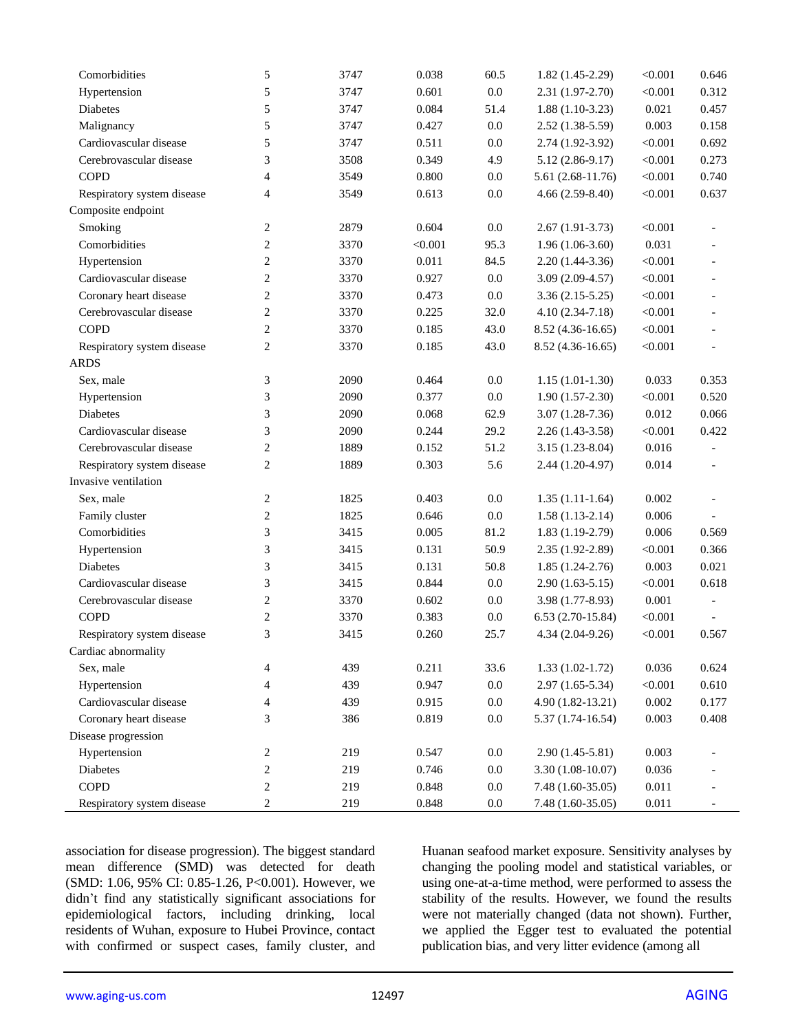| Comorbidities              | 5                       | 3747 | 0.038   | 60.5    | $1.82(1.45-2.29)$  | < 0.001 | 0.646                    |
|----------------------------|-------------------------|------|---------|---------|--------------------|---------|--------------------------|
| Hypertension               | 5                       | 3747 | 0.601   | $0.0\,$ | $2.31(1.97-2.70)$  | < 0.001 | 0.312                    |
| Diabetes                   | 5                       | 3747 | 0.084   | 51.4    | $1.88(1.10-3.23)$  | 0.021   | 0.457                    |
| Malignancy                 | 5                       | 3747 | 0.427   | $0.0\,$ | $2.52(1.38-5.59)$  | 0.003   | 0.158                    |
| Cardiovascular disease     | 5                       | 3747 | 0.511   | $0.0\,$ | $2.74(1.92-3.92)$  | < 0.001 | 0.692                    |
| Cerebrovascular disease    | 3                       | 3508 | 0.349   | 4.9     | $5.12(2.86-9.17)$  | < 0.001 | 0.273                    |
| <b>COPD</b>                | 4                       | 3549 | 0.800   | $0.0\,$ | 5.61 (2.68-11.76)  | < 0.001 | 0.740                    |
| Respiratory system disease | 4                       | 3549 | 0.613   | 0.0     | $4.66(2.59-8.40)$  | < 0.001 | 0.637                    |
| Composite endpoint         |                         |      |         |         |                    |         |                          |
| Smoking                    | $\overline{c}$          | 2879 | 0.604   | $0.0\,$ | $2.67(1.91-3.73)$  | < 0.001 |                          |
| Comorbidities              | $\overline{c}$          | 3370 | < 0.001 | 95.3    | $1.96(1.06-3.60)$  | 0.031   |                          |
| Hypertension               | 2                       | 3370 | 0.011   | 84.5    | $2.20(1.44-3.36)$  | < 0.001 |                          |
| Cardiovascular disease     | $\overline{\mathbf{c}}$ | 3370 | 0.927   | $0.0\,$ | $3.09(2.09-4.57)$  | < 0.001 |                          |
| Coronary heart disease     | $\overline{\mathbf{c}}$ | 3370 | 0.473   | $0.0\,$ | $3.36(2.15-5.25)$  | < 0.001 |                          |
| Cerebrovascular disease    | 2                       | 3370 | 0.225   | 32.0    | $4.10(2.34-7.18)$  | < 0.001 |                          |
| <b>COPD</b>                | 2                       | 3370 | 0.185   | 43.0    | $8.52(4.36-16.65)$ | < 0.001 | $\overline{\phantom{a}}$ |
| Respiratory system disease | $\overline{2}$          | 3370 | 0.185   | 43.0    | 8.52 (4.36-16.65)  | < 0.001 | $\overline{a}$           |
| <b>ARDS</b>                |                         |      |         |         |                    |         |                          |
| Sex, male                  | 3                       | 2090 | 0.464   | $0.0\,$ | $1.15(1.01-1.30)$  | 0.033   | 0.353                    |
| Hypertension               | 3                       | 2090 | 0.377   | $0.0\,$ | $1.90(1.57-2.30)$  | < 0.001 | 0.520                    |
| Diabetes                   | 3                       | 2090 | 0.068   | 62.9    | $3.07(1.28-7.36)$  | 0.012   | 0.066                    |
| Cardiovascular disease     | 3                       | 2090 | 0.244   | 29.2    | $2.26(1.43-3.58)$  | < 0.001 | 0.422                    |
| Cerebrovascular disease    | $\overline{c}$          | 1889 | 0.152   | 51.2    | $3.15(1.23-8.04)$  | 0.016   |                          |
| Respiratory system disease | 2                       | 1889 | 0.303   | 5.6     | 2.44 (1.20-4.97)   | 0.014   |                          |
| Invasive ventilation       |                         |      |         |         |                    |         |                          |
| Sex, male                  | $\overline{\mathbf{c}}$ | 1825 | 0.403   | $0.0\,$ | $1.35(1.11-1.64)$  | 0.002   |                          |
| Family cluster             | $\overline{\mathbf{c}}$ | 1825 | 0.646   | $0.0\,$ | $1.58(1.13-2.14)$  | 0.006   |                          |
| Comorbidities              | 3                       | 3415 | 0.005   | 81.2    | $1.83(1.19-2.79)$  | 0.006   | 0.569                    |
| Hypertension               | 3                       | 3415 | 0.131   | 50.9    | $2.35(1.92-2.89)$  | < 0.001 | 0.366                    |
| Diabetes                   | 3                       | 3415 | 0.131   | 50.8    | $1.85(1.24-2.76)$  | 0.003   | 0.021                    |
| Cardiovascular disease     | 3                       | 3415 | 0.844   | $0.0\,$ | $2.90(1.63-5.15)$  | < 0.001 | 0.618                    |
| Cerebrovascular disease    | $\overline{\mathbf{c}}$ | 3370 | 0.602   | $0.0\,$ | $3.98(1.77-8.93)$  | 0.001   |                          |
| <b>COPD</b>                | $\overline{c}$          | 3370 | 0.383   | 0.0     | $6.53(2.70-15.84)$ | < 0.001 |                          |
| Respiratory system disease | 3                       | 3415 | 0.260   | 25.7    | $4.34(2.04-9.26)$  | < 0.001 | 0.567                    |
| Cardiac abnormality        |                         |      |         |         |                    |         |                          |
| Sex, male                  | 4                       | 439  | 0.211   | 33.6    | $1.33(1.02-1.72)$  | 0.036   | 0.624                    |
| Hypertension               | 4                       | 439  | 0.947   | $0.0\,$ | $2.97(1.65-5.34)$  | < 0.001 | 0.610                    |
| Cardiovascular disease     | 4                       | 439  | 0.915   | 0.0     | $4.90(1.82-13.21)$ | 0.002   | 0.177                    |
| Coronary heart disease     | 3                       | 386  | 0.819   | $0.0\,$ | $5.37(1.74-16.54)$ | 0.003   | 0.408                    |
| Disease progression        |                         |      |         |         |                    |         |                          |
| Hypertension               | $\sqrt{2}$              | 219  | 0.547   | $0.0\,$ | $2.90(1.45-5.81)$  | 0.003   |                          |
| Diabetes                   | 2                       | 219  | 0.746   | $0.0\,$ | $3.30(1.08-10.07)$ | 0.036   |                          |
| COPD                       | $\overline{\mathbf{c}}$ | 219  | 0.848   | $0.0\,$ | 7.48 (1.60-35.05)  | 0.011   |                          |
| Respiratory system disease | 2                       | 219  | 0.848   | $0.0\,$ | 7.48 (1.60-35.05)  | 0.011   |                          |

association for disease progression). The biggest standard mean difference (SMD) was detected for death (SMD: 1.06, 95% CI: 0.85-1.26, P<0.001). However, we didn't find any statistically significant associations for epidemiological factors, including drinking, local residents of Wuhan, exposure to Hubei Province, contact with confirmed or suspect cases, family cluster, and Huanan seafood market exposure. Sensitivity analyses by changing the pooling model and statistical variables, or using one-at-a-time method, were performed to assess the stability of the results. However, we found the results were not materially changed (data not shown). Further, we applied the Egger test to evaluated the potential publication bias, and very litter evidence (among all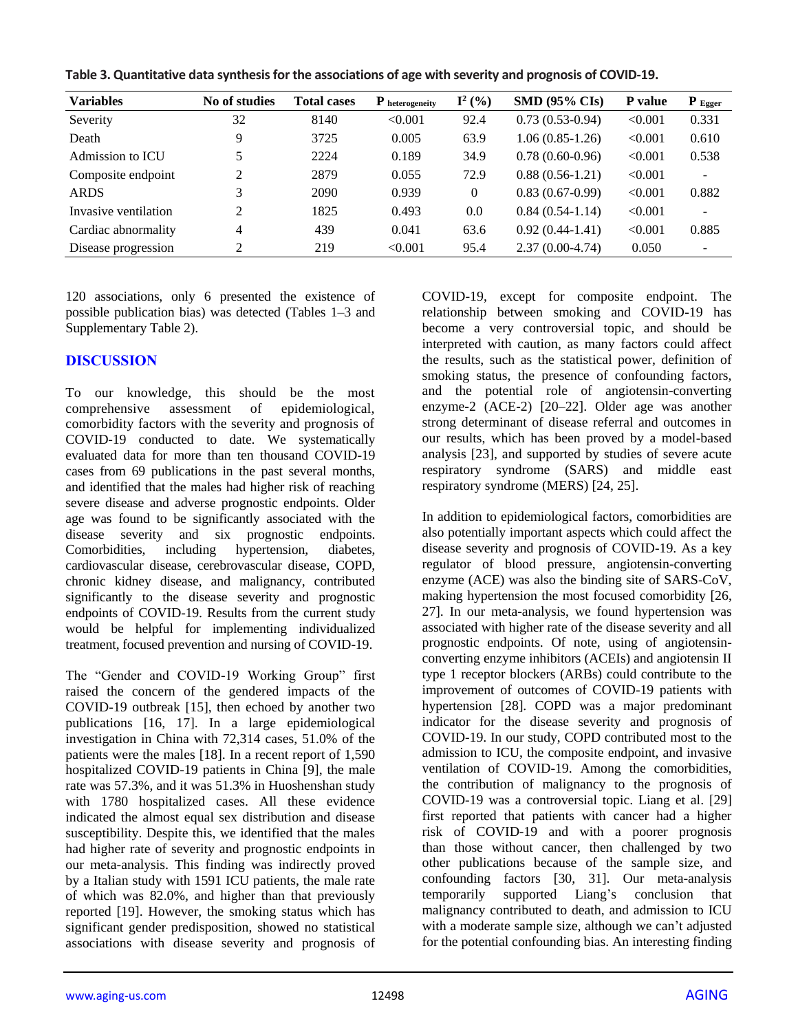| Table 3. Quantitative data synthesis for the associations of age with severity and prognosis of COVID-19. |  |
|-----------------------------------------------------------------------------------------------------------|--|
|-----------------------------------------------------------------------------------------------------------|--|

| <b>Variables</b>     | No of studies  | <b>Total cases</b> | $P$ heterogeneity | $I^2$ (%) | $SMD (95\% CLs)$  | P value | $P_{Egger}$ |
|----------------------|----------------|--------------------|-------------------|-----------|-------------------|---------|-------------|
| Severity             | 32             | 8140               | < 0.001           | 92.4      | $0.73(0.53-0.94)$ | < 0.001 | 0.331       |
| Death                | Q              | 3725               | 0.005             | 63.9      | $1.06(0.85-1.26)$ | < 0.001 | 0.610       |
| Admission to ICU     |                | 2224               | 0.189             | 34.9      | $0.78(0.60-0.96)$ | < 0.001 | 0.538       |
| Composite endpoint   | ↑              | 2879               | 0.055             | 72.9      | $0.88(0.56-1.21)$ | < 0.001 |             |
| <b>ARDS</b>          |                | 2090               | 0.939             | $\theta$  | $0.83(0.67-0.99)$ | < 0.001 | 0.882       |
| Invasive ventilation | $\mathfrak{D}$ | 1825               | 0.493             | 0.0       | $0.84(0.54-1.14)$ | < 0.001 | $\sim$      |
| Cardiac abnormality  | $\overline{4}$ | 439                | 0.041             | 63.6      | $0.92(0.44-1.41)$ | < 0.001 | 0.885       |
| Disease progression  | ↑              | 219                | < 0.001           | 95.4      | $2.37(0.00-4.74)$ | 0.050   |             |

120 associations, only 6 presented the existence of possible publication bias) was detected (Tables 1–3 and Supplementary Table 2).

### **DISCUSSION**

To our knowledge, this should be the most comprehensive assessment of epidemiological, comorbidity factors with the severity and prognosis of COVID-19 conducted to date. We systematically evaluated data for more than ten thousand COVID-19 cases from 69 publications in the past several months, and identified that the males had higher risk of reaching severe disease and adverse prognostic endpoints. Older age was found to be significantly associated with the disease severity and six prognostic endpoints. Comorbidities, including hypertension, diabetes, cardiovascular disease, cerebrovascular disease, COPD, chronic kidney disease, and malignancy, contributed significantly to the disease severity and prognostic endpoints of COVID-19. Results from the current study would be helpful for implementing individualized treatment, focused prevention and nursing of COVID-19.

The "Gender and COVID-19 Working Group" first raised the concern of the gendered impacts of the COVID-19 outbreak [15], then echoed by another two publications [16, 17]. In a large epidemiological investigation in China with 72,314 cases, 51.0% of the patients were the males [18]. In a recent report of 1,590 hospitalized COVID-19 patients in China [9], the male rate was 57.3%, and it was 51.3% in Huoshenshan study with 1780 hospitalized cases. All these evidence indicated the almost equal sex distribution and disease susceptibility. Despite this, we identified that the males had higher rate of severity and prognostic endpoints in our meta-analysis. This finding was indirectly proved by a Italian study with 1591 ICU patients, the male rate of which was 82.0%, and higher than that previously reported [19]. However, the smoking status which has significant gender predisposition, showed no statistical associations with disease severity and prognosis of COVID-19, except for composite endpoint. The relationship between smoking and COVID-19 has become a very controversial topic, and should be interpreted with caution, as many factors could affect the results, such as the statistical power, definition of smoking status, the presence of confounding factors, and the potential role of angiotensin-converting enzyme-2 (ACE-2) [20–22]. Older age was another strong determinant of disease referral and outcomes in our results, which has been proved by a model-based analysis [23], and supported by studies of severe acute respiratory syndrome (SARS) and middle east respiratory syndrome (MERS) [24, 25].

In addition to epidemiological factors, comorbidities are also potentially important aspects which could affect the disease severity and prognosis of COVID-19. As a key regulator of blood pressure, angiotensin-converting enzyme (ACE) was also the binding site of SARS-CoV, making hypertension the most focused comorbidity [26, 27]. In our meta-analysis, we found hypertension was associated with higher rate of the disease severity and all prognostic endpoints. Of note, using of angiotensinconverting enzyme inhibitors (ACEIs) and angiotensin II type 1 receptor blockers (ARBs) could contribute to the improvement of outcomes of COVID-19 patients with hypertension [28]. COPD was a major predominant indicator for the disease severity and prognosis of COVID-19. In our study, COPD contributed most to the admission to ICU, the composite endpoint, and invasive ventilation of COVID-19. Among the comorbidities, the contribution of malignancy to the prognosis of COVID-19 was a controversial topic. Liang et al. [29] first reported that patients with cancer had a higher risk of COVID-19 and with a poorer prognosis than those without cancer, then challenged by two other publications because of the sample size, and confounding factors [30, 31]. Our meta-analysis temporarily supported Liang's conclusion that malignancy contributed to death, and admission to ICU with a moderate sample size, although we can't adjusted for the potential confounding bias. An interesting finding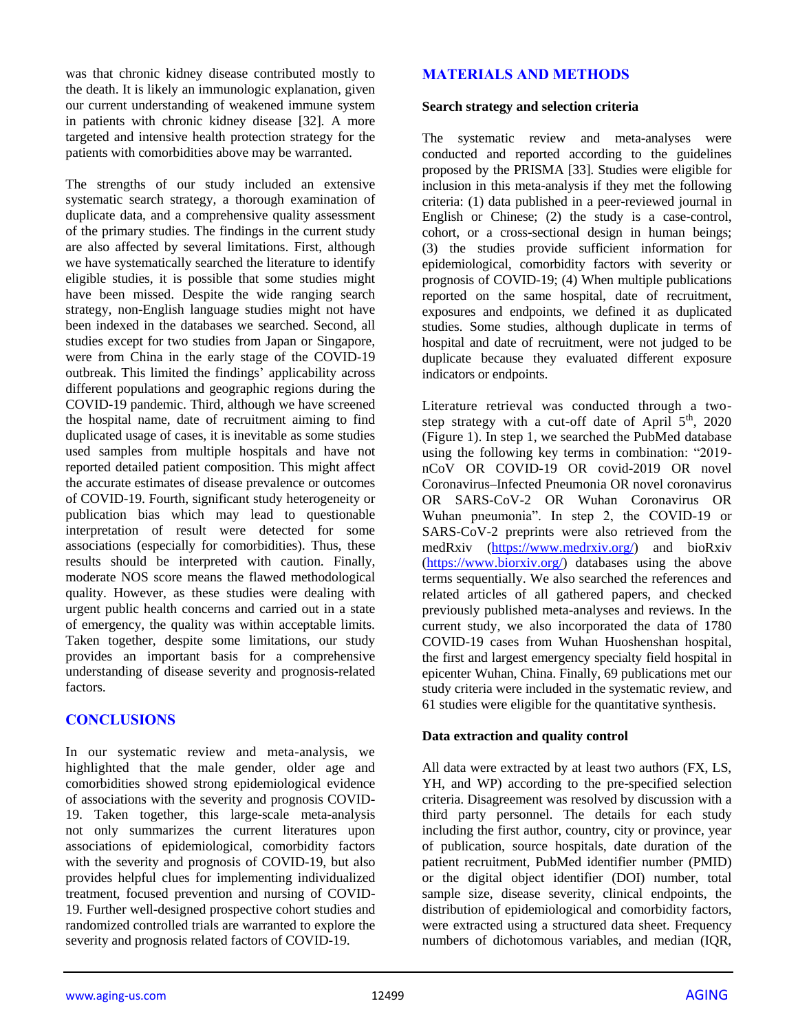was that chronic kidney disease contributed mostly to the death. It is likely an immunologic explanation, given our current understanding of weakened immune system in patients with chronic kidney disease [32]. A more targeted and intensive health protection strategy for the patients with comorbidities above may be warranted.

The strengths of our study included an extensive systematic search strategy, a thorough examination of duplicate data, and a comprehensive quality assessment of the primary studies. The findings in the current study are also affected by several limitations. First, although we have systematically searched the literature to identify eligible studies, it is possible that some studies might have been missed. Despite the wide ranging search strategy, non-English language studies might not have been indexed in the databases we searched. Second, all studies except for two studies from Japan or Singapore, were from China in the early stage of the COVID-19 outbreak. This limited the findings' applicability across different populations and geographic regions during the COVID-19 pandemic. Third, although we have screened the hospital name, date of recruitment aiming to find duplicated usage of cases, it is inevitable as some studies used samples from multiple hospitals and have not reported detailed patient composition. This might affect the accurate estimates of disease prevalence or outcomes of COVID-19. Fourth, significant study heterogeneity or publication bias which may lead to questionable interpretation of result were detected for some associations (especially for comorbidities). Thus, these results should be interpreted with caution. Finally, moderate NOS score means the flawed methodological quality. However, as these studies were dealing with urgent public health concerns and carried out in a state of emergency, the quality was within acceptable limits. Taken together, despite some limitations, our study provides an important basis for a comprehensive understanding of disease severity and prognosis-related factors.

# **CONCLUSIONS**

In our systematic review and meta-analysis, we highlighted that the male gender, older age and comorbidities showed strong epidemiological evidence of associations with the severity and prognosis COVID-19. Taken together, this large-scale meta-analysis not only summarizes the current literatures upon associations of epidemiological, comorbidity factors with the severity and prognosis of COVID-19, but also provides helpful clues for implementing individualized treatment, focused prevention and nursing of COVID-19. Further well-designed prospective cohort studies and randomized controlled trials are warranted to explore the severity and prognosis related factors of COVID-19.

### **MATERIALS AND METHODS**

#### **Search strategy and selection criteria**

The systematic review and meta-analyses were conducted and reported according to the guidelines proposed by the PRISMA [33]. Studies were eligible for inclusion in this meta-analysis if they met the following criteria: (1) data published in a peer-reviewed journal in English or Chinese; (2) the study is a case-control, cohort, or a cross-sectional design in human beings; (3) the studies provide sufficient information for epidemiological, comorbidity factors with severity or prognosis of COVID-19; (4) When multiple publications reported on the same hospital, date of recruitment, exposures and endpoints, we defined it as duplicated studies. Some studies, although duplicate in terms of hospital and date of recruitment, were not judged to be duplicate because they evaluated different exposure indicators or endpoints.

Literature retrieval was conducted through a twostep strategy with a cut-off date of April  $5<sup>th</sup>$ , 2020 (Figure 1). In step 1, we searched the PubMed database using the following key terms in combination: "2019 nCoV OR COVID-19 OR covid-2019 OR novel Coronavirus–Infected Pneumonia OR novel coronavirus OR SARS-CoV-2 OR Wuhan Coronavirus OR Wuhan pneumonia". In step 2, the COVID-19 or SARS-CoV-2 preprints were also retrieved from the medRxiv [\(https://www.medrxiv.org/\)](https://www.medrxiv.org/) and bioRxiv [\(https://www.biorxiv.org/\)](https://www.biorxiv.org/) databases using the above terms sequentially. We also searched the references and related articles of all gathered papers, and checked previously published meta-analyses and reviews. In the current study, we also incorporated the data of 1780 COVID-19 cases from Wuhan Huoshenshan hospital, the first and largest emergency specialty field hospital in epicenter Wuhan, China. Finally, 69 publications met our study criteria were included in the systematic review, and 61 studies were eligible for the quantitative synthesis.

#### **Data extraction and quality control**

All data were extracted by at least two authors (FX, LS, YH, and WP) according to the pre-specified selection criteria. Disagreement was resolved by discussion with a third party personnel. The details for each study including the first author, country, city or province, year of publication, source hospitals, date duration of the patient recruitment, PubMed identifier number (PMID) or the digital object identifier (DOI) number, total sample size, disease severity, clinical endpoints, the distribution of epidemiological and comorbidity factors, were extracted using a structured data sheet. Frequency numbers of dichotomous variables, and median (IQR,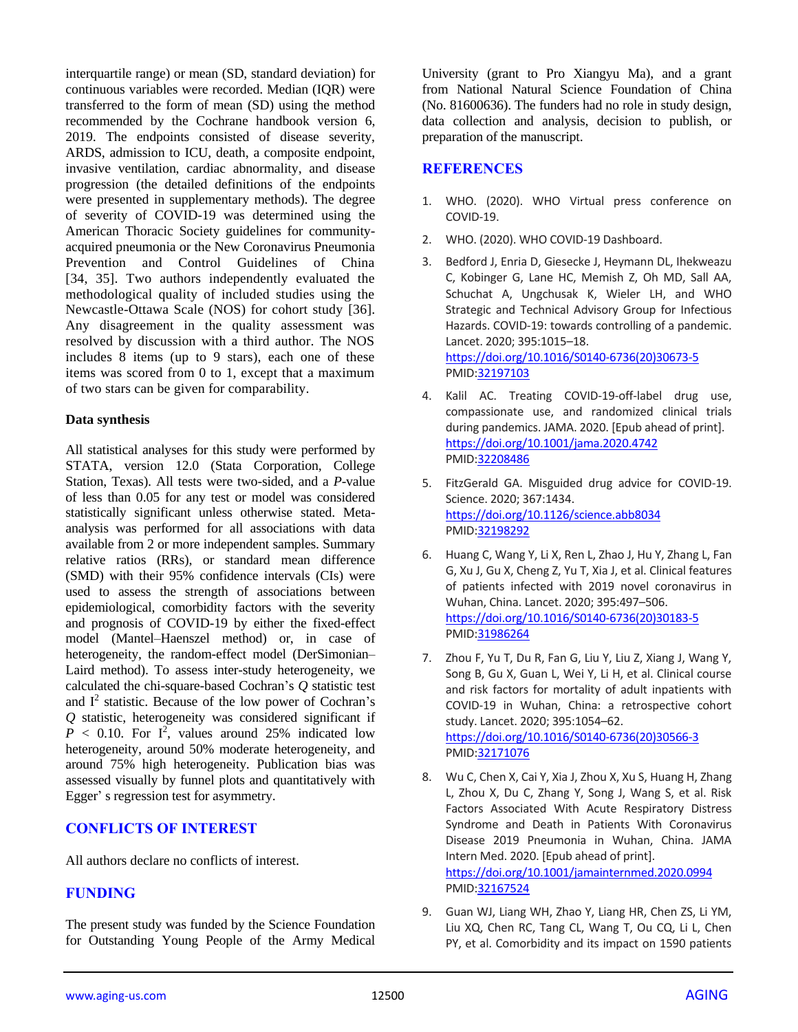interquartile range) or mean (SD, standard deviation) for continuous variables were recorded. Median (IQR) were transferred to the form of mean (SD) using the method recommended by the Cochrane handbook version 6, 2019. The endpoints consisted of disease severity, ARDS, admission to ICU, death, a composite endpoint, invasive ventilation, cardiac abnormality, and disease progression (the detailed definitions of the endpoints were presented in supplementary methods). The degree of severity of COVID-19 was determined using the American Thoracic Society guidelines for communityacquired pneumonia or the New Coronavirus Pneumonia Prevention and Control Guidelines of China [34, 35]. Two authors independently evaluated the methodological quality of included studies using the Newcastle-Ottawa Scale (NOS) for cohort study [36]. Any disagreement in the quality assessment was resolved by discussion with a third author. The NOS includes 8 items (up to 9 stars), each one of these items was scored from 0 to 1, except that a maximum of two stars can be given for comparability.

#### **Data synthesis**

All statistical analyses for this study were performed by STATA, version 12.0 (Stata Corporation, College Station, Texas). All tests were two-sided, and a *P*-value of less than 0.05 for any test or model was considered statistically significant unless otherwise stated. Metaanalysis was performed for all associations with data available from 2 or more independent samples. Summary relative ratios (RRs), or standard mean difference (SMD) with their 95% confidence intervals (CIs) were used to assess the strength of associations between epidemiological, comorbidity factors with the severity and prognosis of COVID-19 by either the fixed-effect model (Mantel–Haenszel method) or, in case of heterogeneity, the random-effect model (DerSimonian– Laird method). To assess inter-study heterogeneity, we calculated the chi-square-based Cochran's *Q* statistic test and  $I<sup>2</sup>$  statistic. Because of the low power of Cochran's *Q* statistic, heterogeneity was considered significant if  $P < 0.10$ . For  $I^2$ , values around 25% indicated low heterogeneity, around 50% moderate heterogeneity, and around 75% high heterogeneity. Publication bias was assessed visually by funnel plots and quantitatively with Egger' s regression test for asymmetry.

# **CONFLICTS OF INTEREST**

All authors declare no conflicts of interest.

# **FUNDING**

The present study was funded by the Science Foundation for Outstanding Young People of the Army Medical University (grant to Pro Xiangyu Ma), and a grant from National Natural Science Foundation of China (No. 81600636). The funders had no role in study design, data collection and analysis, decision to publish, or preparation of the manuscript.

#### **REFERENCES**

- 1. WHO. (2020). WHO Virtual press conference on COVID-19.
- 2. WHO. (2020). WHO COVID-19 Dashboard.
- 3. Bedford J, Enria D, Giesecke J, Heymann DL, Ihekweazu C, Kobinger G, Lane HC, Memish Z, Oh MD, Sall AA, Schuchat A, Ungchusak K, Wieler LH, and WHO Strategic and Technical Advisory Group for Infectious Hazards. COVID-19: towards controlling of a pandemic. Lancet. 2020; 395:1015–18. [https://doi.org/10.1016/S0140-6736\(20\)30673-5](https://doi.org/10.1016/S0140-6736(20)30673-5) PMI[D:32197103](https://pubmed.ncbi.nlm.nih.gov/32197103)
- 4. Kalil AC. Treating COVID-19-off-label drug use, compassionate use, and randomized clinical trials during pandemics. JAMA. 2020. [Epub ahead of print]. <https://doi.org/10.1001/jama.2020.4742> PMI[D:32208486](https://pubmed.ncbi.nlm.nih.gov/32208486)
- 5. FitzGerald GA. Misguided drug advice for COVID-19. Science. 2020; 367:1434. <https://doi.org/10.1126/science.abb8034> PMI[D:32198292](https://pubmed.ncbi.nlm.nih.gov/32198292)
- 6. Huang C, Wang Y, Li X, Ren L, Zhao J, Hu Y, Zhang L, Fan G, Xu J, Gu X, Cheng Z, Yu T, Xia J, et al. Clinical features of patients infected with 2019 novel coronavirus in Wuhan, China. Lancet. 2020; 395:497–506. [https://doi.org/10.1016/S0140-6736\(20\)30183-5](https://doi.org/10.1016/S0140-6736(20)30183-5) PMI[D:31986264](https://pubmed.ncbi.nlm.nih.gov/31986264)
- 7. Zhou F, Yu T, Du R, Fan G, Liu Y, Liu Z, Xiang J, Wang Y, Song B, Gu X, Guan L, Wei Y, Li H, et al. Clinical course and risk factors for mortality of adult inpatients with COVID-19 in Wuhan, China: a retrospective cohort study. Lancet. 2020; 395:1054–62. [https://doi.org/10.1016/S0140-6736\(20\)30566-3](https://doi.org/10.1016/S0140-6736(20)30566-3) PMI[D:32171076](https://pubmed.ncbi.nlm.nih.gov/32171076)
- 8. Wu C, Chen X, Cai Y, Xia J, Zhou X, Xu S, Huang H, Zhang L, Zhou X, Du C, Zhang Y, Song J, Wang S, et al. Risk Factors Associated With Acute Respiratory Distress Syndrome and Death in Patients With Coronavirus Disease 2019 Pneumonia in Wuhan, China. JAMA Intern Med. 2020. [Epub ahead of print]. <https://doi.org/10.1001/jamainternmed.2020.0994> PMI[D:32167524](https://pubmed.ncbi.nlm.nih.gov/32167524)
- 9. Guan WJ, Liang WH, Zhao Y, Liang HR, Chen ZS, Li YM, Liu XQ, Chen RC, Tang CL, Wang T, Ou CQ, Li L, Chen PY, et al. Comorbidity and its impact on 1590 patients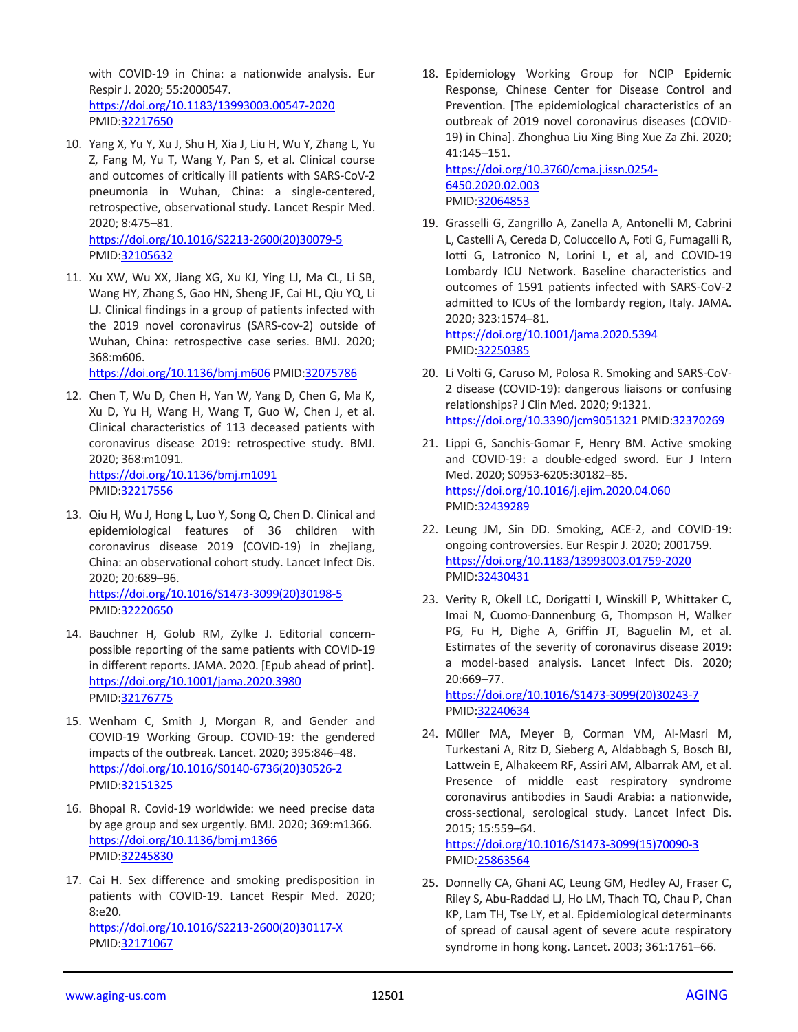with COVID-19 in China: a nationwide analysis. Eur Respir J. 2020; 55:2000547.

<https://doi.org/10.1183/13993003.00547-2020> PMID[:32217650](https://pubmed.ncbi.nlm.nih.gov/32217650)

- 10. Yang X, Yu Y, Xu J, Shu H, Xia J, Liu H, Wu Y, Zhang L, Yu Z, Fang M, Yu T, Wang Y, Pan S, et al. Clinical course and outcomes of critically ill patients with SARS-CoV-2 pneumonia in Wuhan, China: a single-centered, retrospective, observational study. Lancet Respir Med. 2020; 8:475–81. [https://doi.org/10.1016/S2213-2600\(20\)30079-5](https://doi.org/10.1016/S2213-2600(20)30079-5) PMID[:32105632](https://pubmed.ncbi.nlm.nih.gov/32105632)
- 11. Xu XW, Wu XX, Jiang XG, Xu KJ, Ying LJ, Ma CL, Li SB, Wang HY, Zhang S, Gao HN, Sheng JF, Cai HL, Qiu YQ, Li LJ. Clinical findings in a group of patients infected with the 2019 novel coronavirus (SARS-cov-2) outside of Wuhan, China: retrospective case series. BMJ. 2020; 368:m606.

<https://doi.org/10.1136/bmj.m606> PMID[:32075786](https://pubmed.ncbi.nlm.nih.gov/32075786)

- 12. Chen T, Wu D, Chen H, Yan W, Yang D, Chen G, Ma K, Xu D, Yu H, Wang H, Wang T, Guo W, Chen J, et al. Clinical characteristics of 113 deceased patients with coronavirus disease 2019: retrospective study. BMJ. 2020; 368:m1091. <https://doi.org/10.1136/bmj.m1091> PMID[:32217556](https://pubmed.ncbi.nlm.nih.gov/32217556)
- 13. Qiu H, Wu J, Hong L, Luo Y, Song Q, Chen D. Clinical and epidemiological features of 36 children with coronavirus disease 2019 (COVID-19) in zhejiang, China: an observational cohort study. Lancet Infect Dis. 2020; 20:689–96. [https://doi.org/10.1016/S1473-3099\(20\)30198-5](https://doi.org/10.1016/S1473-3099(20)30198-5) PMID[:32220650](https://pubmed.ncbi.nlm.nih.gov/32220650)
- 14. Bauchner H, Golub RM, Zylke J. Editorial concernpossible reporting of the same patients with COVID-19 in different reports. JAMA. 2020. [Epub ahead of print]. <https://doi.org/10.1001/jama.2020.3980> PMID[:32176775](https://pubmed.ncbi.nlm.nih.gov/32176775)
- 15. Wenham C, Smith J, Morgan R, and Gender and COVID-19 Working Group. COVID-19: the gendered impacts of the outbreak. Lancet. 2020; 395:846–48. [https://doi.org/10.1016/S0140-6736\(20\)30526-2](https://doi.org/10.1016/S0140-6736(20)30526-2) PMID[:32151325](https://pubmed.ncbi.nlm.nih.gov/32151325)
- 16. Bhopal R. Covid-19 worldwide: we need precise data by age group and sex urgently. BMJ. 2020; 369:m1366. <https://doi.org/10.1136/bmj.m1366> PMID[:32245830](https://pubmed.ncbi.nlm.nih.gov/32245830)
- 17. Cai H. Sex difference and smoking predisposition in patients with COVID-19. Lancet Respir Med. 2020; 8:e20. [https://doi.org/10.1016/S2213-2600\(20\)30117-X](https://doi.org/10.1016/S2213-2600(20)30117-X) PMID[:32171067](https://pubmed.ncbi.nlm.nih.gov/32171067)

18. Epidemiology Working Group for NCIP Epidemic Response, Chinese Center for Disease Control and Prevention. [The epidemiological characteristics of an outbreak of 2019 novel coronavirus diseases (COVID-19) in China]. Zhonghua Liu Xing Bing Xue Za Zhi. 2020; 41:145–151.

[https://doi.org/10.3760/cma.j.issn.0254-](https://doi.org/10.3760/cma.j.issn.0254-6450.2020.02.003) [6450.2020.02.003](https://doi.org/10.3760/cma.j.issn.0254-6450.2020.02.003) PMI[D:32064853](https://pubmed.ncbi.nlm.nih.gov/32064853)

19. Grasselli G, Zangrillo A, Zanella A, Antonelli M, Cabrini L, Castelli A, Cereda D, Coluccello A, Foti G, Fumagalli R, Iotti G, Latronico N, Lorini L, et al, and COVID-19 Lombardy ICU Network. Baseline characteristics and outcomes of 1591 patients infected with SARS-CoV-2 admitted to ICUs of the lombardy region, Italy. JAMA. 2020; 323:1574–81. <https://doi.org/10.1001/jama.2020.5394>

PMI[D:32250385](https://pubmed.ncbi.nlm.nih.gov/32250385)

- 20. Li Volti G, Caruso M, Polosa R. Smoking and SARS-CoV-2 disease (COVID-19): dangerous liaisons or confusing relationships? J Clin Med. 2020; 9:1321. <https://doi.org/10.3390/jcm9051321> PMID[:32370269](https://pubmed.ncbi.nlm.nih.gov/32370269)
- 21. Lippi G, Sanchis-Gomar F, Henry BM. Active smoking and COVID-19: a double-edged sword. Eur J Intern Med. 2020; S0953-6205:30182–85. <https://doi.org/10.1016/j.ejim.2020.04.060> PMI[D:32439289](https://pubmed.ncbi.nlm.nih.gov/32439289)
- 22. Leung JM, Sin DD. Smoking, ACE-2, and COVID-19: ongoing controversies. Eur Respir J. 2020; 2001759. <https://doi.org/10.1183/13993003.01759-2020> PMI[D:32430431](https://pubmed.ncbi.nlm.nih.gov/32430431)
- 23. Verity R, Okell LC, Dorigatti I, Winskill P, Whittaker C, Imai N, Cuomo-Dannenburg G, Thompson H, Walker PG, Fu H, Dighe A, Griffin JT, Baguelin M, et al. Estimates of the severity of coronavirus disease 2019: a model-based analysis. Lancet Infect Dis. 2020; 20:669–77.

[https://doi.org/10.1016/S1473-3099\(20\)30243-7](https://doi.org/10.1016/S1473-3099(20)30243-7) PMI[D:32240634](https://pubmed.ncbi.nlm.nih.gov/32240634)

24. Müller MA, Meyer B, Corman VM, Al-Masri M, Turkestani A, Ritz D, Sieberg A, Aldabbagh S, Bosch BJ, Lattwein E, Alhakeem RF, Assiri AM, Albarrak AM, et al. Presence of middle east respiratory syndrome coronavirus antibodies in Saudi Arabia: a nationwide, cross-sectional, serological study. Lancet Infect Dis. 2015; 15:559–64.

[https://doi.org/10.1016/S1473-3099\(15\)70090-3](https://doi.org/10.1016/S1473-3099(15)70090-3) PMI[D:25863564](https://pubmed.ncbi.nlm.nih.gov/25863564)

25. Donnelly CA, Ghani AC, Leung GM, Hedley AJ, Fraser C, Riley S, Abu-Raddad LJ, Ho LM, Thach TQ, Chau P, Chan KP, Lam TH, Tse LY, et al. Epidemiological determinants of spread of causal agent of severe acute respiratory syndrome in hong kong. Lancet. 2003; 361:1761–66.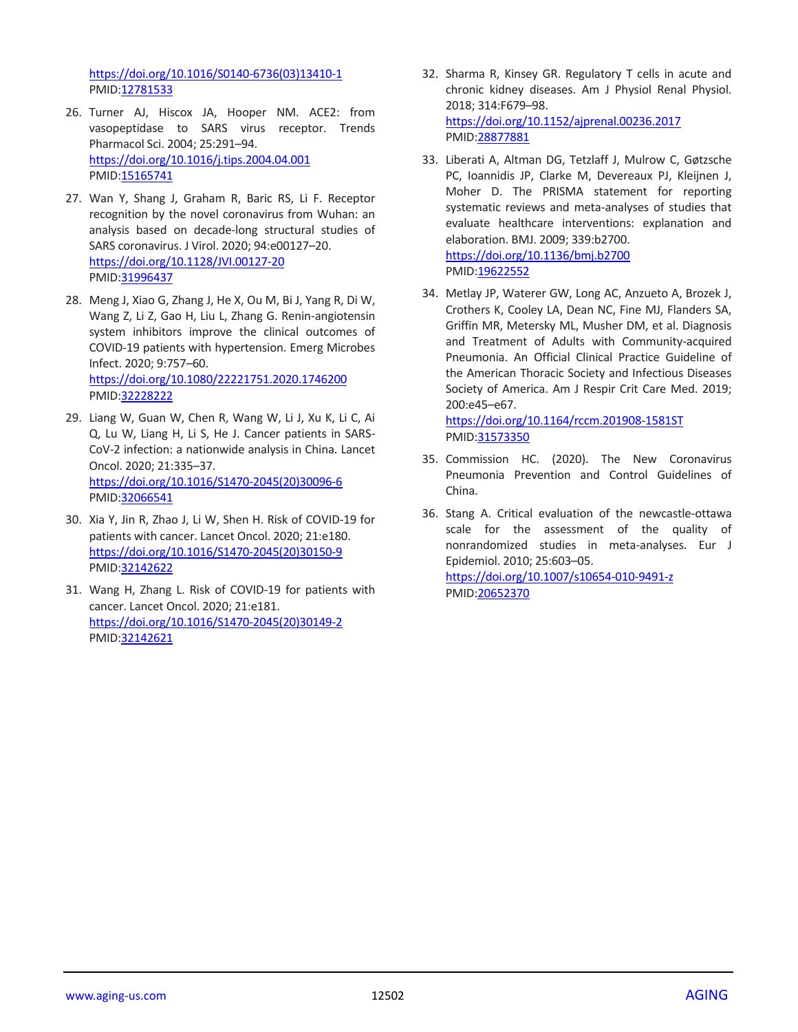[https://doi.org/10.1016/S0140-6736\(03\)13410-1](https://doi.org/10.1016/S0140-6736(03)13410-1) PMID[:12781533](https://pubmed.ncbi.nlm.nih.gov/12781533)

- 26. Turner AJ, Hiscox JA, Hooper NM. ACE2: from vasopeptidase to SARS virus receptor. Trends Pharmacol Sci. 2004; 25:291–94. <https://doi.org/10.1016/j.tips.2004.04.001> PMID[:15165741](https://pubmed.ncbi.nlm.nih.gov/15165741)
- 27. Wan Y, Shang J, Graham R, Baric RS, Li F. Receptor recognition by the novel coronavirus from Wuhan: an analysis based on decade-long structural studies of SARS coronavirus. J Virol. 2020; 94:e00127–20. <https://doi.org/10.1128/JVI.00127-20> PMID[:31996437](https://pubmed.ncbi.nlm.nih.gov/31996437)
- 28. Meng J, Xiao G, Zhang J, He X, Ou M, Bi J, Yang R, Di W, Wang Z, Li Z, Gao H, Liu L, Zhang G. Renin-angiotensin system inhibitors improve the clinical outcomes of COVID-19 patients with hypertension. Emerg Microbes Infect. 2020; 9:757–60. <https://doi.org/10.1080/22221751.2020.1746200> PMID[:32228222](https://pubmed.ncbi.nlm.nih.gov/32228222)
- 29. Liang W, Guan W, Chen R, Wang W, Li J, Xu K, Li C, Ai Q, Lu W, Liang H, Li S, He J. Cancer patients in SARS-CoV-2 infection: a nationwide analysis in China. Lancet Oncol. 2020; 21:335–37. [https://doi.org/10.1016/S1470-2045\(20\)30096-6](https://doi.org/10.1016/S1470-2045(20)30096-6) PMID[:32066541](https://pubmed.ncbi.nlm.nih.gov/32066541)
- 30. Xia Y, Jin R, Zhao J, Li W, Shen H. Risk of COVID-19 for patients with cancer. Lancet Oncol. 2020; 21:e180. [https://doi.org/10.1016/S1470-2045\(20\)30150-9](https://doi.org/10.1016/S1470-2045(20)30150-9) PMID[:32142622](https://pubmed.ncbi.nlm.nih.gov/32142622)
- 31. Wang H, Zhang L. Risk of COVID-19 for patients with cancer. Lancet Oncol. 2020; 21:e181. [https://doi.org/10.1016/S1470-2045\(20\)30149-2](https://doi.org/10.1016/S1470-2045(20)30149-2) PMID[:32142621](https://pubmed.ncbi.nlm.nih.gov/32142621)
- 32. Sharma R, Kinsey GR. Regulatory T cells in acute and chronic kidney diseases. Am J Physiol Renal Physiol. 2018; 314:F679–98. <https://doi.org/10.1152/ajprenal.00236.2017> PMI[D:28877881](https://pubmed.ncbi.nlm.nih.gov/28877881)
- 33. Liberati A, Altman DG, Tetzlaff J, Mulrow C, Gøtzsche PC, Ioannidis JP, Clarke M, Devereaux PJ, Kleijnen J, Moher D. The PRISMA statement for reporting systematic reviews and meta-analyses of studies that evaluate healthcare interventions: explanation and elaboration. BMJ. 2009; 339:b2700. <https://doi.org/10.1136/bmj.b2700>
	- PMI[D:19622552](https://pubmed.ncbi.nlm.nih.gov/19622552)
- 34. Metlay JP, Waterer GW, Long AC, Anzueto A, Brozek J, Crothers K, Cooley LA, Dean NC, Fine MJ, Flanders SA, Griffin MR, Metersky ML, Musher DM, et al. Diagnosis and Treatment of Adults with Community-acquired Pneumonia. An Official Clinical Practice Guideline of the American Thoracic Society and Infectious Diseases Society of America. Am J Respir Crit Care Med. 2019; 200:e45–e67.

<https://doi.org/10.1164/rccm.201908-1581ST> PMI[D:31573350](https://pubmed.ncbi.nlm.nih.gov/31573350)

- 35. Commission HC. (2020). The New Coronavirus Pneumonia Prevention and Control Guidelines of China.
- 36. Stang A. Critical evaluation of the newcastle-ottawa scale for the assessment of the quality of nonrandomized studies in meta-analyses. Eur J Epidemiol. 2010; 25:603–05. <https://doi.org/10.1007/s10654-010-9491-z> PMI[D:20652370](https://pubmed.ncbi.nlm.nih.gov/20652370)